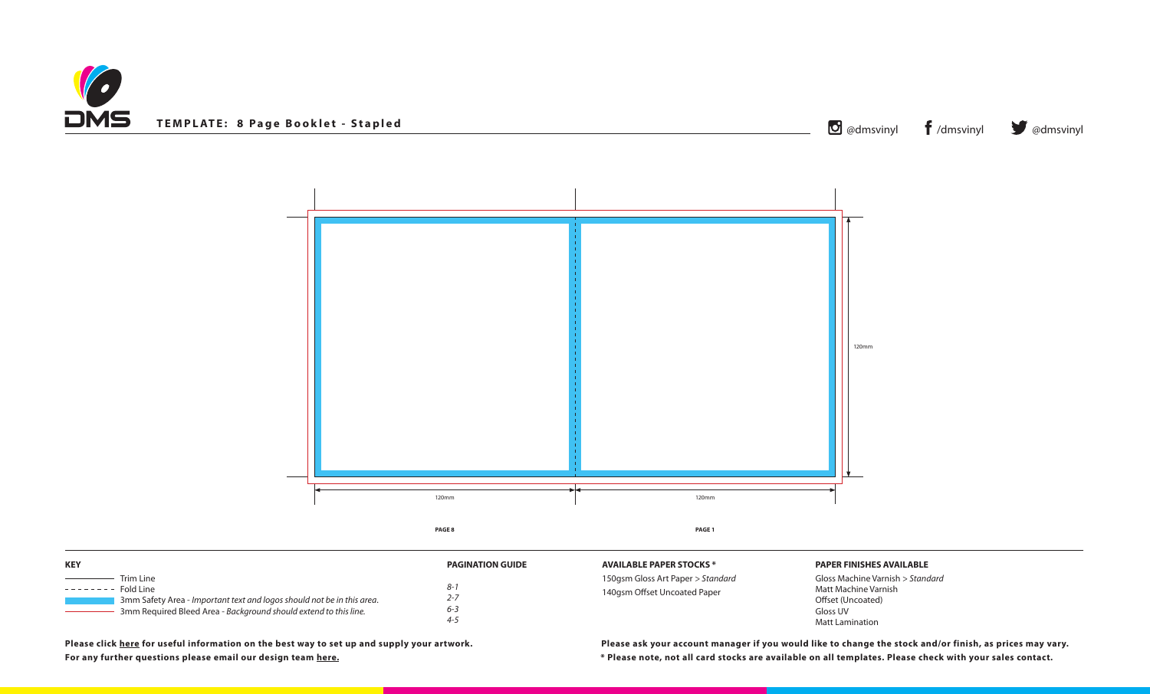



**\* Please note, not all card stocks are available on all templates. Please check with your sales contact. Please ask your account manager if you would like to change the stock and/or finish, as prices may vary.**

**POCKS** \*

150gsm Gloss Art Paper *> Standard* ed Paper

| <b>KEY</b>                                                                                                                                                                                                                                                                                                                                                                                                                                                                                                                                                                                                                                                     | <b>PAGINATION GUIDE</b>                  | <b>AVAILABLE PAPER STO</b>                     |
|----------------------------------------------------------------------------------------------------------------------------------------------------------------------------------------------------------------------------------------------------------------------------------------------------------------------------------------------------------------------------------------------------------------------------------------------------------------------------------------------------------------------------------------------------------------------------------------------------------------------------------------------------------------|------------------------------------------|------------------------------------------------|
| Trim Line<br>$\frac{1}{2} \left( \frac{1}{2} \right) \left( \frac{1}{2} \right) \left( \frac{1}{2} \right) \left( \frac{1}{2} \right) \left( \frac{1}{2} \right) \left( \frac{1}{2} \right) \left( \frac{1}{2} \right) \left( \frac{1}{2} \right) \left( \frac{1}{2} \right) \left( \frac{1}{2} \right) \left( \frac{1}{2} \right) \left( \frac{1}{2} \right) \left( \frac{1}{2} \right) \left( \frac{1}{2} \right) \left( \frac{1}{2} \right) \left( \frac{1}{2} \right) \left( \frac$<br>--------<br>Fold Line<br>3mm Safety Area - Important text and logos should not be in this area.<br>3mm Required Bleed Area - Background should extend to this line. | $8 - 1$<br>$2 - 7$<br>$6 - 3$<br>$4 - 5$ | 150gsm Gloss Art Pape<br>140gsm Offset Uncoate |

## **PAPER FINISHES AVAILABLE**

Gloss Machine Varnish *> Standard* Matt Machine Varnish Offset (Uncoated) Gloss UV Matt Lamination

**Please click [here](http://www.discmanufacturingservices.com/cd/templates#artwork-specifications) for useful information on the best way to set up and supply your artwork. For any further questions please email our design team [here](mailto:graphics%40discmanufacturingservices.com?subject=Template%20Enquiry).**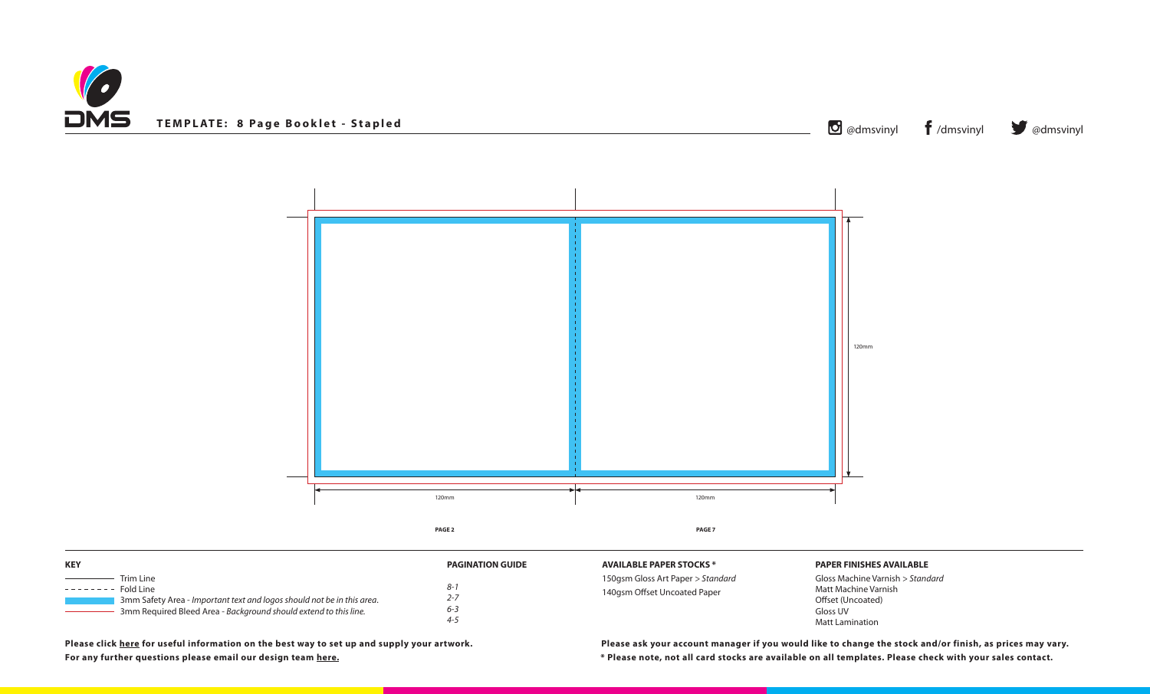



150gsm Gloss Art Paper *> Standard* ed Paper

| <b>KEY</b>                                                                                                                                                                       | <b>PAGINATION GUIDE</b>          | <b>AVAILABLE PAPER STO</b>                     |
|----------------------------------------------------------------------------------------------------------------------------------------------------------------------------------|----------------------------------|------------------------------------------------|
| Trim Line<br>Fold Line<br>--------<br>3mm Safety Area - Important text and logos should not be in this area.<br>3mm Required Bleed Area - Background should extend to this line. | 8-1<br>$2 - 7$<br>$6 - 3$<br>4-5 | 150gsm Gloss Art Pape<br>140gsm Offset Uncoate |

**\* Please note, not all card stocks are available on all templates. Please check with your sales contact. Please ask your account manager if you would like to change the stock and/or finish, as prices may vary.**

**DCKS** \*

## **PAPER FINISHES AVAILABLE**

Gloss Machine Varnish *> Standard* Matt Machine Varnish Offset (Uncoated) Gloss UV Matt Lamination

**Please click [here](http://www.discmanufacturingservices.com/cd/templates#artwork-specifications) for useful information on the best way to set up and supply your artwork. For any further questions please email our design team [here](mailto:graphics%40discmanufacturingservices.com?subject=Template%20Enquiry).**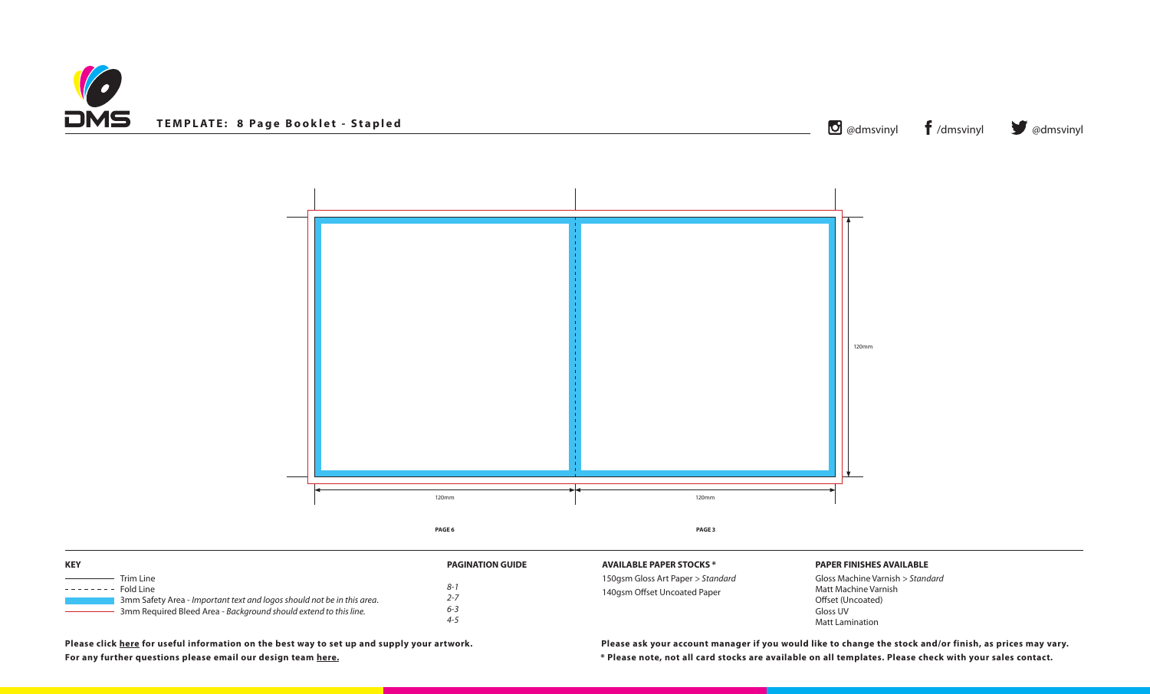



150gsm Gloss Art Paper *> Standard* ed Paper

| <b>KEY</b>                                                                                                                                                                              | <b>PAGINATION GUIDE</b>              | <b>AVAILABLE PAPER STO</b>                     |
|-----------------------------------------------------------------------------------------------------------------------------------------------------------------------------------------|--------------------------------------|------------------------------------------------|
| Trim Line<br><b>Fold Line</b><br>--------<br>3mm Safety Area - Important text and logos should not be in this area.<br>3mm Required Bleed Area - Background should extend to this line. | $8 - 1$<br>2-7<br>$6 - 3$<br>$4 - 5$ | 150gsm Gloss Art Pape<br>140gsm Offset Uncoate |

**\* Please note, not all card stocks are available on all templates. Please check with your sales contact. Please ask your account manager if you would like to change the stock and/or finish, as prices may vary.**

**POCKS** \*

## **PAPER FINISHES AVAILABLE**

Gloss Machine Varnish *> Standard* Matt Machine Varnish Offset (Uncoated) Gloss UV Matt Lamination

**Please click [here](http://www.discmanufacturingservices.com/cd/templates#artwork-specifications) for useful information on the best way to set up and supply your artwork. For any further questions please email our design team [here](mailto:graphics%40discmanufacturingservices.com?subject=Template%20Enquiry).**